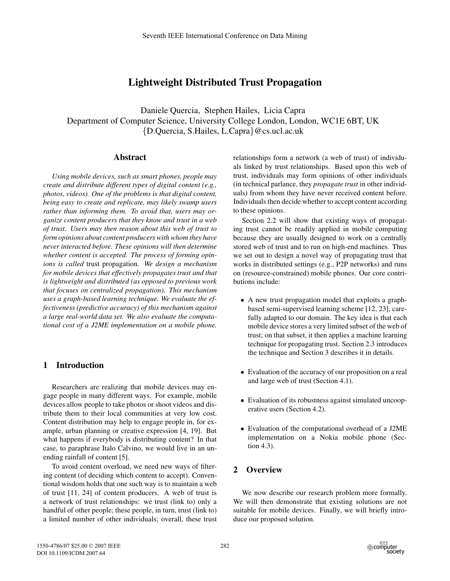# **Lightweight Distributed Trust Propagation**

Daniele Quercia, Stephen Hailes, Licia Capra Department of Computer Science, University College London, London, WC1E 6BT, UK {D.Quercia, S.Hailes, L.Capra}@cs.ucl.ac.uk

## **Abstract**

*Using mobile devices, such as smart phones, people may create and distribute different types of digital content (e.g., photos, videos). One of the problems is that digital content, being easy to create and replicate, may likely swamp users rather than informing them. To avoid that, users may organize content producers that they know and trust in a web of trust. Users may then reason about this web of trust to form opinions about content producers with whom they have never interacted before. These opinions will then determine whether content is accepted. The process of forming opinions is called* trust propagation*. We design a mechanism for mobile devices that effectively propagates trust and that is lightweight and distributed (as opposed to previous work that focuses on centralized propagation). This mechanism uses a graph-based learning technique. We evaluate the effectiveness (predictive accuracy) of this mechanism against a large real-world data set. We also evaluate the computational cost of a J2ME implementation on a mobile phone.*

# **1 Introduction**

Researchers are realizing that mobile devices may engage people in many different ways. For example, mobile devices allow people to take photos or shoot videos and distribute them to their local communities at very low cost. Content distribution may help to engage people in, for example, urban planning or creative expression [4, 19]. But what happens if everybody is distributing content? In that case, to paraphrase Italo Calvino, we would live in an unending rainfall of content [5].

To avoid content overload, we need new ways of filtering content (of deciding which content to accept). Conventional wisdom holds that one such way is to maintain a web of trust [11, 24] of content producers. A web of trust is a network of trust relationships: we trust (link to) only a handful of other people; these people, in turn, trust (link to) a limited number of other individuals; overall, these trust relationships form a network (a web of trust) of individuals linked by trust relationships. Based upon this web of trust, individuals may form opinions of other individuals (in technical parlance, they *propagate trust* in other individuals) from whom they have never received content before. Individuals then decide whether to accept content according to these opinions.

Section 2.2 will show that existing ways of propagating trust cannot be readily applied in mobile computing because they are usually designed to work on a centrally stored web of trust and to run on high-end machines. Thus we set out to design a novel way of propagating trust that works in distributed settings (e.g., P2P networks) and runs on (resource-constrained) mobile phones. Our core contributions include:

- A new trust propagation model that exploits a graphbased semi-supervised learning scheme [12, 23], carefully adapted to our domain. The key idea is that each mobile device stores a very limited subset of the web of trust; on that subset, it then applies a machine learning technique for propagating trust. Section 2.3 introduces the technique and Section 3 describes it in details.
- Evaluation of the accuracy of our proposition on a real and large web of trust (Section 4.1).
- Evaluation of its robustness against simulated uncooperative users (Section 4.2).
- Evaluation of the computational overhead of a J2ME implementation on a Nokia mobile phone (Section 4.3).

# **2 Overview**

We now describe our research problem more formally. We will then demonstrate that existing solutions are not suitable for mobile devices. Finally, we will briefly introduce our proposed solution.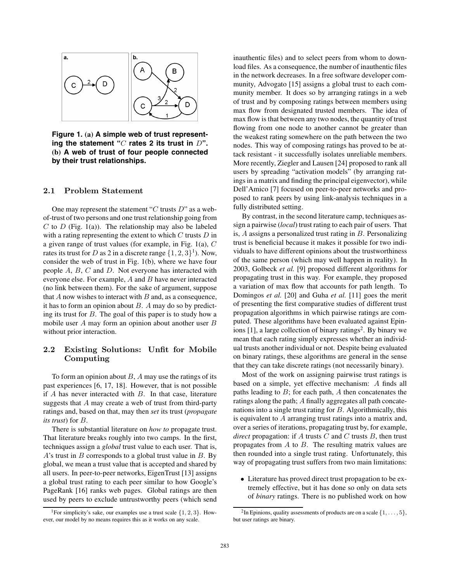

**Figure 1. (a) A simple web of trust representing the statement "**C **rates 2 its trust in** D**". (b) A web of trust of four people connected by their trust relationships.**

#### **2.1 Problem Statement**

One may represent the statement "C trusts  $D$ " as a webof-trust of two persons and one trust relationship going from  $C$  to  $D$  (Fig. 1(a)). The relationship may also be labeled with a rating representing the extent to which  $C$  trusts  $D$  in a given range of trust values (for example, in Fig. 1(a), C rates its trust for D as 2 in a discrete range  $\{1, 2, 3\}^1$ ). Now, consider the web of trust in Fig. 1(b), where we have four people  $A$ ,  $B$ ,  $C$  and  $D$ . Not everyone has interacted with everyone else. For example, A and B have never interacted (no link between them). For the sake of argument, suppose that  $A$  now wishes to interact with  $B$  and, as a consequence, it has to form an opinion about  $B$ . A may do so by predicting its trust for  $B$ . The goal of this paper is to study how a mobile user  $A$  may form an opinion about another user  $B$ without prior interaction.

## **2.2 Existing Solutions: Unfit for Mobile Computing**

To form an opinion about  $B$ ,  $A$  may use the ratings of its past experiences [6, 17, 18]. However, that is not possible if  $A$  has never interacted with  $B$ . In that case, literature suggests that A may create a web of trust from third-party ratings and, based on that, may then *set* its trust (*propagate its trust*) for B.

There is substantial literature on *how to* propagate trust. That literature breaks roughly into two camps. In the first, techniques assign a *global* trust value to each user. That is,  $A$ 's trust in  $B$  corresponds to a global trust value in  $B$ . By global, we mean a trust value that is accepted and shared by all users. In peer-to-peer networks, EigenTrust [13] assigns a global trust rating to each peer similar to how Google's PageRank [16] ranks web pages. Global ratings are then used by peers to exclude untrustworthy peers (which send

inauthentic files) and to select peers from whom to download files. As a consequence, the number of inauthentic files in the network decreases. In a free software developer community, Advogato [15] assigns a global trust to each community member. It does so by arranging ratings in a web of trust and by composing ratings between members using max flow from designated trusted members. The idea of max flow is that between any two nodes, the quantity of trust flowing from one node to another cannot be greater than the weakest rating somewhere on the path between the two nodes. This way of composing ratings has proved to be attack resistant - it successfully isolates unreliable members. More recently, Ziegler and Lausen [24] proposed to rank all users by spreading "activation models" (by arranging ratings in a matrix and finding the principal eigenvector), while Dell'Amico [7] focused on peer-to-peer networks and proposed to rank peers by using link-analysis techniques in a fully distributed setting.

By contrast, in the second literature camp, techniques assign a pairwise (*local*) trust rating to each pair of users. That is,  $A$  assigns a personalized trust rating in  $B$ . Personalizing trust is beneficial because it makes it possible for two individuals to have different opinions about the trustworthiness of the same person (which may well happen in reality). In 2003, Golbeck *et al.* [9] proposed different algorithms for propagating trust in this way. For example, they proposed a variation of max flow that accounts for path length. To Domingos *et al.* [20] and Guha *et al.* [11] goes the merit of presenting the first comparative studies of different trust propagation algorithms in which pairwise ratings are computed. These algorithms have been evaluated against Epinions  $[1]$ , a large collection of binary ratings<sup>2</sup>. By binary we mean that each rating simply expresses whether an individual trusts another individual or not. Despite being evaluated on binary ratings, these algorithms are general in the sense that they can take discrete ratings (not necessarily binary).

Most of the work on assigning pairwise trust ratings is based on a simple, yet effective mechanism: A finds all paths leading to  $B$ ; for each path,  $A$  then concatenates the ratings along the path; A finally aggregates all path concatenations into a single trust rating for B. Algorithmically, this is equivalent to A arranging trust ratings into a matrix and, over a series of iterations, propagating trust by, for example, *direct* propagation: if  $A$  trusts  $C$  and  $C$  trusts  $B$ , then trust propagates from A to B. The resulting matrix values are then rounded into a single trust rating. Unfortunately, this way of propagating trust suffers from two main limitations:

• Literature has proved direct trust propagation to be extremely effective, but it has done so only on data sets of *binary* ratings. There is no published work on how

<sup>1</sup>For simplicity's sake, our examples use a trust scale *{*1*,* <sup>2</sup>*,* <sup>3</sup>*}*. However, our model by no means requires this as it works on any scale.

<sup>&</sup>lt;sup>2</sup>In Epinions, quality assessments of products are on a scale  $\{1, \ldots, 5\}$ , but user ratings are binary.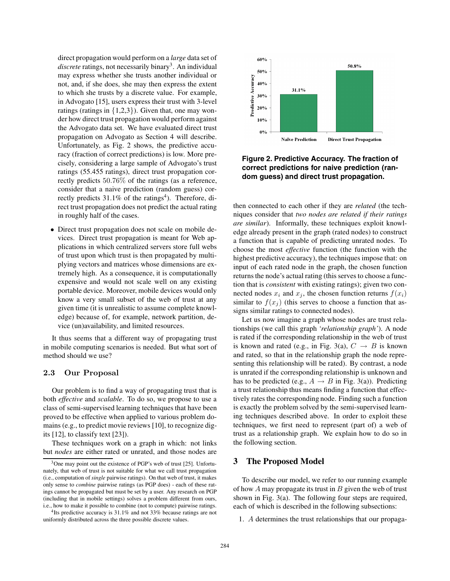direct propagation would perform on a *large* data set of *discrete* ratings, not necessarily binary<sup>3</sup>. An individual may express whether she trusts another individual or not, and, if she does, she may then express the extent to which she trusts by a discrete value. For example, in Advogato [15], users express their trust with 3-level ratings (ratings in  $\{1,2,3\}$ ). Given that, one may wonder how direct trust propagation would perform against the Advogato data set. We have evaluated direct trust propagation on Advogato as Section 4 will describe. Unfortunately, as Fig. 2 shows, the predictive accuracy (fraction of correct predictions) is low. More precisely, considering a large sample of Advogato's trust ratings (55.455 ratings), direct trust propagation correctly predicts 50.76% of the ratings (as a reference, consider that a naive prediction (random guess) correctly predicts  $31.1\%$  of the ratings<sup>4</sup>). Therefore, direct trust propagation does not predict the actual rating in roughly half of the cases.

• Direct trust propagation does not scale on mobile devices. Direct trust propagation is meant for Web applications in which centralized servers store full webs of trust upon which trust is then propagated by multiplying vectors and matrices whose dimensions are extremely high. As a consequence, it is computationally expensive and would not scale well on any existing portable device. Moreover, mobile devices would only know a very small subset of the web of trust at any given time (it is unrealistic to assume complete knowledge) because of, for example, network partition, device (un)availability, and limited resources.

It thus seems that a different way of propagating trust in mobile computing scenarios is needed. But what sort of method should we use?

#### **2.3 Our Proposal**

Our problem is to find a way of propagating trust that is both *effective* and *scalable*. To do so, we propose to use a class of semi-supervised learning techniques that have been proved to be effective when applied to various problem domains (e.g., to predict movie reviews [10], to recognize digits [12], to classify text [23]).

These techniques work on a graph in which: not links but *nodes* are either rated or unrated, and those nodes are



**Figure 2. Predictive Accuracy. The fraction of correct predictions for naive prediction (random guess) and direct trust propagation.**

then connected to each other if they are *related* (the techniques consider that *two nodes are related if their ratings are similar*). Informally, these techniques exploit knowledge already present in the graph (rated nodes) to construct a function that is capable of predicting unrated nodes. To choose the most *effective* function (the function with the highest predictive accuracy), the techniques impose that: on input of each rated node in the graph, the chosen function returns the node's actual rating (this serves to choose a function that is *consistent* with existing ratings); given two connected nodes  $x_i$  and  $x_j$ , the chosen function returns  $f(x_i)$ similar to  $f(x_i)$  (this serves to choose a function that assigns similar ratings to connected nodes).

Let us now imagine a graph whose nodes are trust relationships (we call this graph *'relationship graph'*). A node is rated if the corresponding relationship in the web of trust is known and rated (e.g., in Fig. 3(a),  $C \rightarrow B$  is known and rated, so that in the relationship graph the node representing this relationship will be rated). By contrast, a node is unrated if the corresponding relationship is unknown and has to be predicted (e.g.,  $A \rightarrow B$  in Fig. 3(a)). Predicting a trust relationship thus means finding a function that effectively rates the corresponding node. Finding such a function is exactly the problem solved by the semi-supervised learning techniques described above. In order to exploit these techniques, we first need to represent (part of) a web of trust as a relationship graph. We explain how to do so in the following section.

## **3 The Proposed Model**

To describe our model, we refer to our running example of how A may propagate its trust in B given the web of trust shown in Fig. 3(a). The following four steps are required, each of which is described in the following subsections:

1. A determines the trust relationships that our propaga-

 $3^3$ One may point out the existence of PGP's web of trust [25]. Unfortunately, that web of trust is not suitable for what we call trust propagation (i.e., computation of *single* pairwise ratings). On that web of trust, it makes only sense to *combine* pairwise ratings (as PGP does) - each of these ratings cannot be propagated but must be set by a user. Any research on PGP (including that in mobile settings) solves a problem different from ours, i.e., how to make it possible to combine (not to compute) pairwise ratings.

<sup>4</sup>Its predictive accuracy is 31.1% and not 33% because ratings are not uniformly distributed across the three possible discrete values.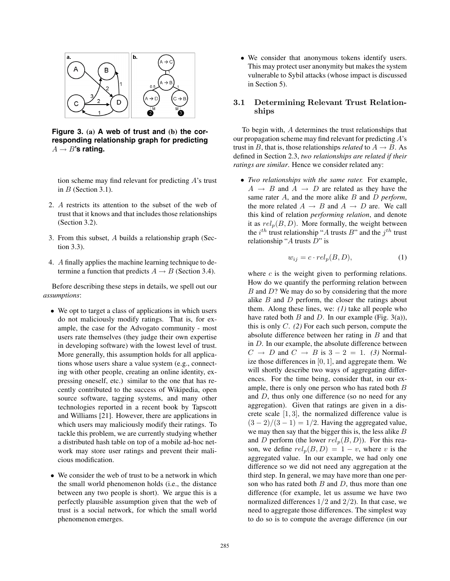

**Figure 3. (a) A web of trust and (b) the corresponding relationship graph for predicting**  $A \rightarrow B$ 's rating.

tion scheme may find relevant for predicting A's trust in  $B$  (Section 3.1).

- 2. A restricts its attention to the subset of the web of trust that it knows and that includes those relationships (Section 3.2).
- 3. From this subset, A builds a relationship graph (Section 3.3).
- 4. A finally applies the machine learning technique to determine a function that predicts  $A \rightarrow B$  (Section 3.4).

Before describing these steps in details, we spell out our *assumptions*:

- We opt to target a class of applications in which users do not maliciously modify ratings. That is, for example, the case for the Advogato community - most users rate themselves (they judge their own expertise in developing software) with the lowest level of trust. More generally, this assumption holds for all applications whose users share a value system (e.g., connecting with other people, creating an online identity, expressing oneself, etc.) similar to the one that has recently contributed to the success of Wikipedia, open source software, tagging systems, and many other technologies reported in a recent book by Tapscott and Williams [21]. However, there are applications in which users may maliciously modify their ratings. To tackle this problem, we are currently studying whether a distributed hash table on top of a mobile ad-hoc network may store user ratings and prevent their malicious modification.
- We consider the web of trust to be a network in which the small world phenomenon holds (i.e., the distance between any two people is short). We argue this is a perfectly plausible assumption given that the web of trust is a social network, for which the small world phenomenon emerges.

• We consider that anonymous tokens identify users. This may protect user anonymity but makes the system vulnerable to Sybil attacks (whose impact is discussed in Section 5).

## **3.1 Determining Relevant Trust Relationships**

To begin with, A determines the trust relationships that our propagation scheme may find relevant for predicting A's trust in B, that is, those relationships *related* to  $A \rightarrow B$ . As defined in Section 2.3, *two relationships are related if their ratings are similar*. Hence we consider related any:

• *Two relationships with the same rater.* For example,  $A \rightarrow B$  and  $A \rightarrow D$  are related as they have the same rater A, and the more alike B and D *perform*, the more related  $A \rightarrow B$  and  $A \rightarrow D$  are. We call this kind of relation *performing relation*, and denote it as  $rel_n(B, D)$ . More formally, the weight between the  $i^{th}$  trust relationship "A trusts B" and the  $j^{th}$  trust relationship " $A$  trusts  $D$ " is

$$
w_{ij} = c \cdot rel_p(B, D), \tag{1}
$$

where  $c$  is the weight given to performing relations. How do we quantify the performing relation between  $B$  and  $D$ ? We may do so by considering that the more alike  $B$  and  $D$  perform, the closer the ratings about them. Along these lines, we: *(1)* take all people who have rated both B and D. In our example (Fig. 3(a)), this is only C. *(2)* For each such person, compute the absolute difference between her rating in  $B$  and that in D. In our example, the absolute difference between  $C \rightarrow D$  and  $C \rightarrow B$  is  $3 - 2 = 1$ . *(3)* Normalize those differences in  $[0, 1]$ , and aggregate them. We will shortly describe two ways of aggregating differences. For the time being, consider that, in our example, there is only one person who has rated both B and D, thus only one difference (so no need for any aggregation). Given that ratings are given in a discrete scale  $[1, 3]$ , the normalized difference value is  $(3-2)/(3-1) = 1/2$ . Having the aggregated value, we may then say that the bigger this is, the less alike B and D perform (the lower  $rel_n(B, D)$ ). For this reason, we define  $rel_n(B, D) = 1 - v$ , where v is the aggregated value. In our example, we had only one difference so we did not need any aggregation at the third step. In general, we may have more than one person who has rated both  $B$  and  $D$ , thus more than one difference (for example, let us assume we have two normalized differences  $1/2$  and  $2/2$ ). In that case, we need to aggregate those differences. The simplest way to do so is to compute the average difference (in our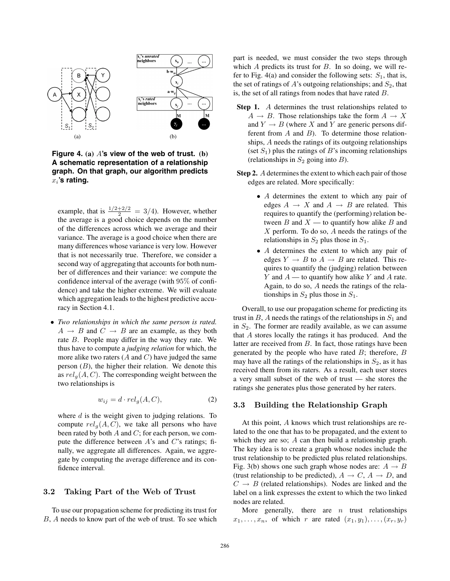

**Figure 4. (a)** A**'s view of the web of trust. (b) A schematic representation of a relationship graph. On that graph, our algorithm predicts**  $x_i$ 's rating.

example, that is  $\frac{1/2+2/2}{2} = 3/4$ ). However, whether the average is a good choice depends on the number of the differences across which we average and their variance. The average is a good choice when there are many differences whose variance is very low. However that is not necessarily true. Therefore, we consider a second way of aggregating that accounts for both number of differences and their variance: we compute the confidence interval of the average (with 95% of confidence) and take the higher extreme. We will evaluate which aggregation leads to the highest predictive accuracy in Section 4.1.

• *Two relationships in which the same person is rated.*  $A \rightarrow B$  and  $C \rightarrow B$  are an example, as they both rate B. People may differ in the way they rate. We thus have to compute a *judging relation* for which, the more alike two raters  $(A \text{ and } C)$  have judged the same person  $(B)$ , the higher their relation. We denote this as  $rel<sub>g</sub>(A, C)$ . The corresponding weight between the two relationships is

$$
w_{ij} = d \cdot rel_g(A, C), \tag{2}
$$

where  $d$  is the weight given to judging relations. To compute  $rel<sub>g</sub>(A, C)$ , we take all persons who have been rated by both  $A$  and  $C$ ; for each person, we compute the difference between  $A$ 's and  $C$ 's ratings; finally, we aggregate all differences. Again, we aggregate by computing the average difference and its confidence interval.

## **3.2 Taking Part of the Web of Trust**

To use our propagation scheme for predicting its trust for B, A needs to know part of the web of trust. To see which part is needed, we must consider the two steps through which  $A$  predicts its trust for  $B$ . In so doing, we will refer to Fig. 4(a) and consider the following sets:  $S_1$ , that is, the set of ratings of  $A$ 's outgoing relationships; and  $S_2$ , that is, the set of all ratings from nodes that have rated B.

- **Step 1.** A determines the trust relationships related to  $A \rightarrow B$ . Those relationships take the form  $A \rightarrow X$ and  $Y \rightarrow B$  (where X and Y are generic persons different from  $A$  and  $B$ ). To determine those relationships, A needs the ratings of its outgoing relationships (set  $S_1$ ) plus the ratings of B's incoming relationships (relationships in  $S_2$  going into  $B$ ).
- **Step 2.** A determines the extent to which each pair of those edges are related. More specifically:
	- A determines the extent to which any pair of edges  $A \rightarrow X$  and  $A \rightarrow B$  are related. This requires to quantify the (performing) relation between  $B$  and  $X$  — to quantify how alike  $B$  and  $X$  perform. To do so,  $A$  needs the ratings of the relationships in  $S_2$  plus those in  $S_1$ .
	- A determines the extent to which any pair of edges  $Y \rightarrow B$  to  $A \rightarrow B$  are related. This requires to quantify the (judging) relation between Y and  $A$  — to quantify how alike Y and A rate. Again, to do so, A needs the ratings of the relationships in  $S_2$  plus those in  $S_1$ .

Overall, to use our propagation scheme for predicting its trust in  $B$ , A needs the ratings of the relationships in  $S_1$  and in  $S_2$ . The former are readily available, as we can assume that A stores locally the ratings it has produced. And the latter are received from B. In fact, those ratings have been generated by the people who have rated  $B$ ; therefore,  $B$ may have all the ratings of the relationships in  $S_2$ , as it has received them from its raters. As a result, each user stores a very small subset of the web of trust — she stores the ratings she generates plus those generated by her raters.

#### **3.3 Building the Relationship Graph**

At this point, A knows which trust relationships are related to the one that has to be propagated, and the extent to which they are so; A can then build a relationship graph. The key idea is to create a graph whose nodes include the trust relationship to be predicted plus related relationships. Fig. 3(b) shows one such graph whose nodes are:  $A \rightarrow B$ (trust relationship to be predicted),  $A \rightarrow C$ ,  $A \rightarrow D$ , and  $C \rightarrow B$  (related relationships). Nodes are linked and the label on a link expresses the extent to which the two linked nodes are related.

More generally, there are  $n$  trust relationships  $x_1, \ldots, x_n$ , of which r are rated  $(x_1, y_1), \ldots, (x_r, y_r)$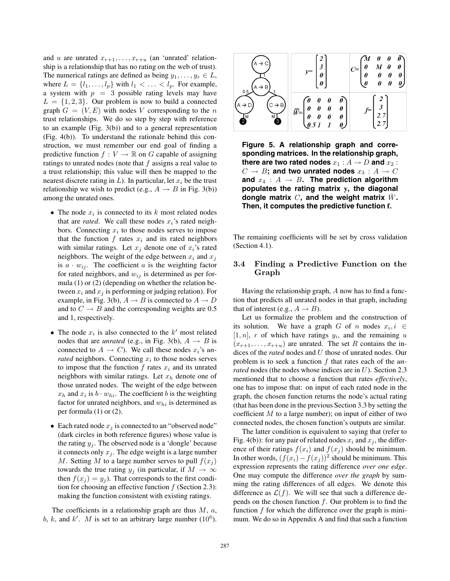and u are unrated  $x_{r+1}, \ldots, x_{r+u}$  (an 'unrated' relationship is a relationship that has no rating on the web of trust). The numerical ratings are defined as being  $y_1, \ldots, y_r \in L$ , where  $L = \{l_1, \ldots, l_p\}$  with  $l_1 < \ldots < l_p$ . For example, a system with  $p = 3$  possible rating levels may have  $L = \{1, 2, 3\}$ . Our problem is now to build a connected graph  $G = (V, E)$  with nodes V corresponding to the n trust relationships. We do so step by step with reference to an example (Fig. 3(b)) and to a general representation (Fig. 4(b)). To understand the rationale behind this construction, we must remember our end goal of finding a predictive function  $f: V \to \mathbb{R}$  on G capable of assigning ratings to unrated nodes (note that  $f$  assigns a real value to a trust relationship; this value will then be mapped to the nearest discrete rating in  $L$ ). In particular, let  $x_i$  be the trust relationship we wish to predict (e.g.,  $A \rightarrow B$  in Fig. 3(b)) among the unrated ones.

- The node  $x_i$  is connected to its k most related nodes that are *rated*. We call these nodes  $x_i$ 's rated neighbors. Connecting  $x_i$  to those nodes serves to impose that the function  $f$  rates  $x_i$  and its rated neighbors with similar ratings. Let  $x_j$  denote one of  $x_i$ 's rated neighbors. The weight of the edge between  $x_i$  and  $x_j$ is  $a \cdot w_{ij}$ . The coefficient a is the weighting factor for rated neighbors, and  $w_{ij}$  is determined as per formula (1) or (2) (depending on whether the relation between  $x_i$  and  $x_j$  is performing or judging relation). For example, in Fig. 3(b),  $A \rightarrow B$  is connected to  $A \rightarrow D$ and to  $C \rightarrow B$  and the corresponding weights are 0.5 and 1, respectively.
- The node  $x_i$  is also connected to the k' most related nodes that are *unrated* (e.g., in Fig. 3(b),  $A \rightarrow B$  is connected to  $A \to C$ ). We call these nodes  $x_i$ 's *unrated* neighbors. Connecting  $x_i$  to those nodes serves to impose that the function  $f$  rates  $x_i$  and its unrated neighbors with similar ratings. Let  $x<sub>h</sub>$  denote one of those unrated nodes. The weight of the edge between  $x_h$  and  $x_i$  is  $b \cdot w_{hi}$ . The coefficient b is the weighting factor for unrated neighbors, and  $w_{hi}$  is determined as per formula (1) or (2).
- Each rated node  $x_j$  is connected to an "observed node" (dark circles in both reference figures) whose value is the rating  $y_j$ . The observed node is a 'dongle' because it connects only  $x_i$ . The edge weight is a large number M. Setting M to a large number serves to pull  $f(x_i)$ towards the true rating  $y_j$  (in particular, if  $M \to \infty$ then  $f(x_j) = y_j$ ). That corresponds to the first condition for choosing an effective function  $f$  (Section 2.3): making the function consistent with existing ratings.

The coefficients in a relationship graph are thus  $M$ ,  $a$ , b, k, and k'. M is set to an arbitrary large number  $(10^6)$ .



**Figure 5. A relationship graph and corresponding matrices. In the relationship graph, there are two rated nodes**  $x_1 : A \rightarrow D$  and  $x_2 : A \rightarrow D$  $C \rightarrow B$ ; and two unrated nodes  $x_3 : A \rightarrow C$ and  $x_4 : A \rightarrow B$ . The prediction algorithm **populates the rating matrix y, the diagonal** dongle matrix  $C$ , and the weight matrix  $\bar{W}$ . **Then, it computes the predictive function f.**

The remaining coefficients will be set by cross validation (Section 4.1).

## **3.4 Finding a Predictive Function on the Graph**

Having the relationship graph, A now has to find a function that predicts all unrated nodes in that graph, including that of interest (e.g.,  $A \rightarrow B$ ).

Let us formalize the problem and the construction of its solution. We have a graph G of n nodes  $x_i, i \in$  $[1, n]$ , r of which have ratings  $y_i$ , and the remaining u  $(x_{r+1},...,x_{r+u})$  are unrated. The set R contains the indices of the *rated* nodes and U those of unrated nodes. Our problem is to seek a function f that rates each of the *unrated* nodes (the nodes whose indices are in U). Section 2.3 mentioned that to choose a function that rates *effectively*, one has to impose that: on input of each rated node in the graph, the chosen function returns the node's actual rating (that has been done in the previous Section 3.3 by setting the coefficient  $M$  to a large number); on input of either of two connected nodes, the chosen function's outputs are similar.

The latter condition is equivalent to saying that (refer to Fig. 4(b)): for any pair of related nodes  $x_i$  and  $x_j$ , the difference of their ratings  $f(x_i)$  and  $f(x_j)$  should be minimum. In other words,  $(f(x_i) - f(x_i))^2$  should be minimum. This expression represents the rating difference *over one edge*. One may compute the difference *over the graph* by summing the rating differences of all edges. We denote this difference as  $\mathcal{L}(f)$ . We will see that such a difference depends on the chosen function  $f$ . Our problem is to find the function  $f$  for which the difference over the graph is minimum. We do so in Appendix A and find that such a function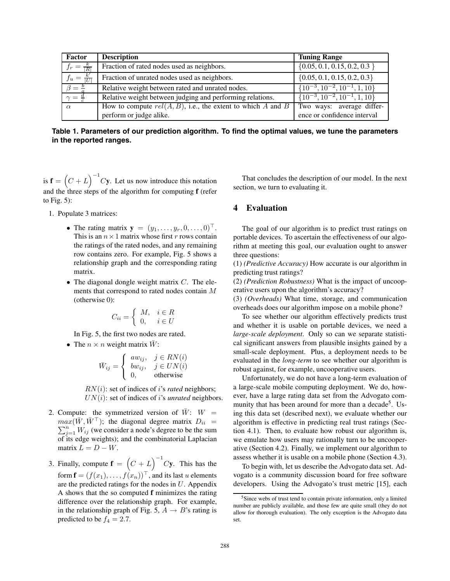| Factor                     | <b>Description</b>                                             | <b>Tuning Range</b>                    |
|----------------------------|----------------------------------------------------------------|----------------------------------------|
| $\frac{k}{ R }$<br>$f_r =$ | Fraction of rated nodes used as neighbors.                     | $\{0.05, 0.1, 0.15, 0.2, 0.3\}$        |
| $f_u = \frac{k'}{ H }$     | Fraction of unrated nodes used as neighbors.                   | $\{0.05, 0.1, 0.15, 0.2, 0.3\}$        |
| $\beta = \frac{b}{a}$      | Relative weight between rated and unrated nodes.               | $\{10^{-3}, 10^{-2}, 10^{-1}, 1, 10\}$ |
| $v = \frac{a}{a}$          | Relative weight between judging and performing relations.      | $\{10^{-3}, 10^{-2}, 10^{-1}, 1, 10\}$ |
| $\alpha$                   | How to compute $rel(A, B)$ , i.e., the extent to which A and B | Two ways: average differ-              |
|                            | perform or judge alike.                                        | ence or confidence interval            |

**Table 1. Parameters of our prediction algorithm. To find the optimal values, we tune the parameters in the reported ranges.**

is  $\mathbf{f} = \left(C + L\right)^{-1} C \mathbf{y}$ . Let us now introduce this notation and the three steps of the algorithm for computing **f** (refer to Fig.  $5$ :

- 1. Populate 3 matrices:
	- The rating matrix  $\mathbf{y} = (y_1, \dots, y_r, 0, \dots, 0)^\top$ . This is an  $n \times 1$  matrix whose first r rows contain the ratings of the rated nodes, and any remaining row contains zero. For example, Fig. 5 shows a relationship graph and the corresponding rating matrix.
	- The diagonal dongle weight matrix  $C$ . The elements that correspond to rated nodes contain M (otherwise 0):

$$
C_{ii} = \begin{cases} M, & i \in R \\ 0, & i \in U \end{cases}
$$

In Fig. 5, the first two nodes are rated.

• The  $n \times n$  weight matrix  $\overline{W}$ :

$$
\bar{W}_{ij} = \begin{cases}\naw_{ij}, & j \in RN(i) \\
bw_{ij}, & j \in UN(i) \\
0, & \text{otherwise}\n\end{cases}
$$

 $RN(i)$ : set of indices of i's *rated* neighbors;  $UN(i)$ : set of indices of i's *unrated* neighbors.

- 2. Compute: the symmetrized version of  $\overline{W}$ :  $W =$  $max(\overline{W}, \overline{W}^{\top})$ ; the diagonal degree matrix  $D_{ii} = \sum_{i=1}^{n} W_{ii}$  (we consider a node's degree to be the sum  $\sum_{j=1}^{n} W_{ij}$  (we consider a node's degree to be the sum of its edge weights); and the combinatorial Laplacian matrix  $L = D - W$ .
- 3. Finally, compute  $f = (C + L)^{-1} C y$ . This has the form  $\mathbf{f} = (f(x_1), \dots, f(x_n))^{\top}$ , and its last u elements are the predicted ratings for the nodes in  $U$ . Appendix A shows that the so computed **f** minimizes the rating difference over the relationship graph. For example, in the relationship graph of Fig. 5,  $A \rightarrow B$ 's rating is predicted to be  $f_4 = 2.7$ .

That concludes the description of our model. In the next section, we turn to evaluating it.

### **4 Evaluation**

The goal of our algorithm is to predict trust ratings on portable devices. To ascertain the effectiveness of our algorithm at meeting this goal, our evaluation ought to answer three questions:

(1) *(Predictive Accuracy)* How accurate is our algorithm in predicting trust ratings?

(2) *(Prediction Robustness)* What is the impact of uncooperative users upon the algorithm's accuracy?

(3) *(Overheads)* What time, storage, and communication overheads does our algorithm impose on a mobile phone?

To see whether our algorithm effectively predicts trust and whether it is usable on portable devices, we need a *large-scale deployment*. Only so can we separate statistical significant answers from plausible insights gained by a small-scale deployment. Plus, a deployment needs to be evaluated in the *long-term* to see whether our algorithm is robust against, for example, uncooperative users.

Unfortunately, we do not have a long-term evaluation of a large-scale mobile computing deployment. We do, however, have a large rating data set from the Advogato community that has been around for more than a decade<sup>5</sup>. Using this data set (described next), we evaluate whether our algorithm is effective in predicting real trust ratings (Section 4.1). Then, to evaluate how robust our algorithm is, we emulate how users may rationally turn to be uncooperative (Section 4.2). Finally, we implement our algorithm to assess whether it is usable on a mobile phone (Section 4.3).

To begin with, let us describe the Advogato data set. Advogato is a community discussion board for free software developers. Using the Advogato's trust metric [15], each

<sup>5</sup>Since webs of trust tend to contain private information, only a limited number are publicly available, and those few are quite small (they do not allow for thorough evaluation). The only exception is the Advogato data set.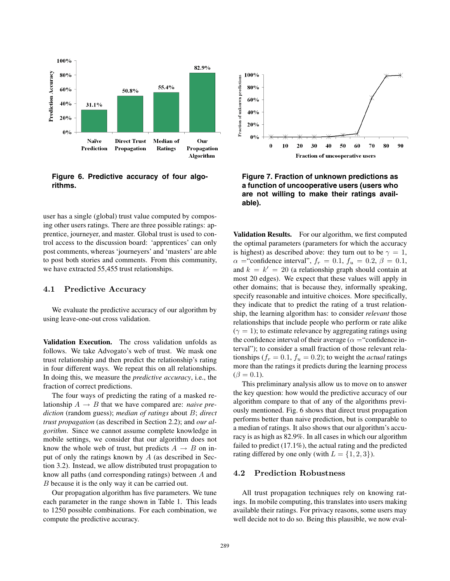

**Figure 6. Predictive accuracy of four algorithms.**

user has a single (global) trust value computed by composing other users ratings. There are three possible ratings: apprentice, journeyer, and master. Global trust is used to control access to the discussion board: 'apprentices' can only post comments, whereas 'journeyers' and 'masters' are able to post both stories and comments. From this community, we have extracted 55,455 trust relationships.

#### **4.1 Predictive Accuracy**

We evaluate the predictive accuracy of our algorithm by using leave-one-out cross validation.

**Validation Execution.** The cross validation unfolds as follows. We take Advogato's web of trust. We mask one trust relationship and then predict the relationship's rating in four different ways. We repeat this on all relationships. In doing this, we measure the *predictive accuracy*, i.e., the fraction of correct predictions.

The four ways of predicting the rating of a masked relationship  $A \rightarrow B$  that we have compared are: *naive prediction* (random guess); *median of ratings* about B; *direct trust propagation* (as described in Section 2.2); and *our algorithm*. Since we cannot assume complete knowledge in mobile settings, we consider that our algorithm does not know the whole web of trust, but predicts  $A \rightarrow B$  on input of only the ratings known by A (as described in Section 3.2). Instead, we allow distributed trust propagation to know all paths (and corresponding ratings) between A and B because it is the only way it can be carried out.

Our propagation algorithm has five parameters. We tune each parameter in the range shown in Table 1. This leads to 1250 possible combinations. For each combination, we compute the predictive accuracy.



**Figure 7. Fraction of unknown predictions as a function of uncooperative users (users who are not willing to make their ratings available).**

**Validation Results.** For our algorithm, we first computed the optimal parameters (parameters for which the accuracy is highest) as described above: they turn out to be  $\gamma = 1$ ,  $\alpha$  = "confidence interval",  $f_r = 0.1$ ,  $f_u = 0.2$ ,  $\beta = 0.1$ , and  $k = k' = 20$  (a relationship graph should contain at most 20 edges). We expect that these values will apply in other domains; that is because they, informally speaking, specify reasonable and intuitive choices. More specifically, they indicate that to predict the rating of a trust relationship, the learning algorithm has: to consider *relevant* those relationships that include people who perform or rate alike  $(\gamma = 1)$ ; to estimate relevance by aggregating ratings using the confidence interval of their average ( $\alpha$  = "confidence interval"); to consider a small fraction of those relevant relationships  $(f_r = 0.1, f_u = 0.2)$ ; to weight the *actual* ratings more than the ratings it predicts during the learning process  $(\beta = 0.1).$ 

This preliminary analysis allow us to move on to answer the key question: how would the predictive accuracy of our algorithm compare to that of any of the algorithms previously mentioned. Fig. 6 shows that direct trust propagation performs better than naive prediction, but is comparable to a median of ratings. It also shows that our algorithm's accuracy is as high as 82.9%. In all cases in which our algorithm failed to predict (17.1%), the actual rating and the predicted rating differed by one only (with  $L = \{1, 2, 3\}$ ).

## **4.2 Prediction Robustness**

All trust propagation techniques rely on knowing ratings. In mobile computing, this translates into users making available their ratings. For privacy reasons, some users may well decide not to do so. Being this plausible, we now eval-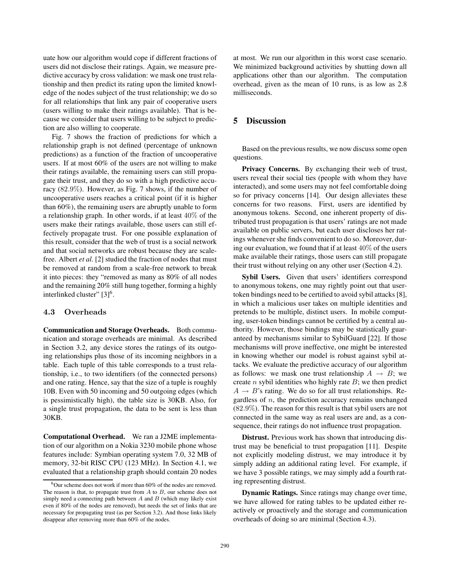uate how our algorithm would cope if different fractions of users did not disclose their ratings. Again, we measure predictive accuracy by cross validation: we mask one trust relationship and then predict its rating upon the limited knowledge of the nodes subject of the trust relationship; we do so for all relationships that link any pair of cooperative users (users willing to make their ratings available). That is because we consider that users willing to be subject to prediction are also willing to cooperate.

Fig. 7 shows the fraction of predictions for which a relationship graph is not defined (percentage of unknown predictions) as a function of the fraction of uncooperative users. If at most 60% of the users are not willing to make their ratings available, the remaining users can still propagate their trust, and they do so with a high predictive accuracy (82.9%). However, as Fig. 7 shows, if the number of uncooperative users reaches a critical point (if it is higher than 60%), the remaining users are abruptly unable to form a relationship graph. In other words, if at least 40% of the users make their ratings available, those users can still effectively propagate trust. For one possible explanation of this result, consider that the web of trust is a social network and that social networks are robust because they are scalefree. Albert *et al.* [2] studied the fraction of nodes that must be removed at random from a scale-free network to break it into pieces: they "removed as many as 80% of all nodes and the remaining 20% still hung together, forming a highly interlinked cluster" [3]<sup>6</sup>.

## **4.3 Overheads**

**Communication and Storage Overheads.** Both communication and storage overheads are minimal. As described in Section 3.2, any device stores the ratings of its outgoing relationships plus those of its incoming neighbors in a table. Each tuple of this table corresponds to a trust relationship, i.e., to two identifiers (of the connected persons) and one rating. Hence, say that the size of a tuple is roughly 10B. Even with 50 incoming and 50 outgoing edges (which is pessimistically high), the table size is 30KB. Also, for a single trust propagation, the data to be sent is less than 30KB.

**Computational Overhead.** We ran a J2ME implementation of our algorithm on a Nokia 3230 mobile phone whose features include: Symbian operating system 7.0, 32 MB of memory, 32-bit RISC CPU (123 MHz). In Section 4.1, we evaluated that a relationship graph should contain 20 nodes

at most. We run our algorithm in this worst case scenario. We minimized background activities by shutting down all applications other than our algorithm. The computation overhead, given as the mean of 10 runs, is as low as 2.8 milliseconds.

## **5 Discussion**

Based on the previous results, we now discuss some open questions.

Privacy Concerns. By exchanging their web of trust, users reveal their social ties (people with whom they have interacted), and some users may not feel comfortable doing so for privacy concerns [14]. Our design alleviates these concerns for two reasons. First, users are identified by anonymous tokens. Second, one inherent property of distributed trust propagation is that users' ratings are not made available on public servers, but each user discloses her ratings whenever she finds convenient to do so. Moreover, during our evaluation, we found that if at least 40% of the users make available their ratings, those users can still propagate their trust without relying on any other user (Section 4.2).

**Sybil Users.** Given that users' identifiers correspond to anonymous tokens, one may rightly point out that usertoken bindings need to be certified to avoid sybil attacks [8], in which a malicious user takes on multiple identities and pretends to be multiple, distinct users. In mobile computing, user-token bindings cannot be certified by a central authority. However, those bindings may be statistically guaranteed by mechanisms similar to SybilGuard [22]. If those mechanisms will prove ineffective, one might be interested in knowing whether our model is robust against sybil attacks. We evaluate the predictive accuracy of our algorithm as follows: we mask one trust relationship  $A \rightarrow B$ ; we create  $n$  sybil identities who highly rate  $B$ ; we then predict  $A \rightarrow B$ 's rating. We do so for all trust relationships. Regardless of  $n$ , the prediction accuracy remains unchanged (82.9%). The reason for this result is that sybil users are not connected in the same way as real users are and, as a consequence, their ratings do not influence trust propagation.

**Distrust.** Previous work has shown that introducing distrust may be beneficial to trust propagation [11]. Despite not explicitly modeling distrust, we may introduce it by simply adding an additional rating level. For example, if we have 3 possible ratings, we may simply add a fourth rating representing distrust.

**Dynamic Ratings.** Since ratings may change over time, we have allowed for rating tables to be updated either reactively or proactively and the storage and communication overheads of doing so are minimal (Section 4.3).

 $6$ Our scheme does not work if more than  $60\%$  of the nodes are removed. The reason is that, to propagate trust from *A* to *B*, our scheme does not simply need a connecting path between *A* and *B* (which may likely exist even if 80% of the nodes are removed), but needs the set of links that are necessary for propagating trust (as per Section 3.2). And those links likely disappear after removing more than 60% of the nodes.